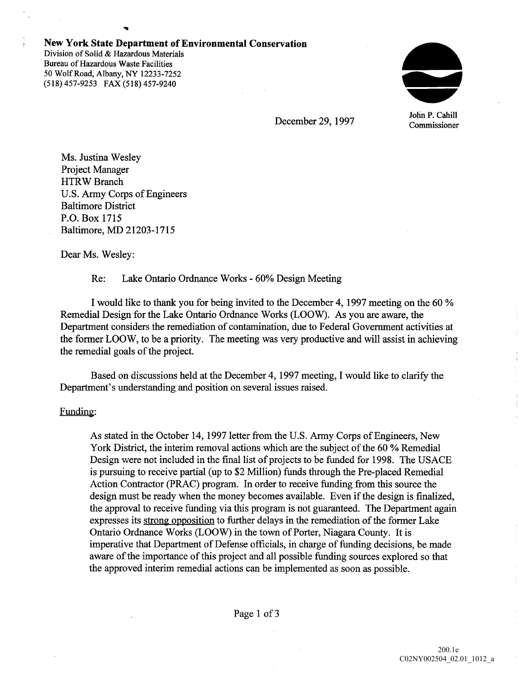#### New York State Department of Environmental Conservation

Division of Solid & Hazardous Materials Bureau of Hazardous Waste Facilities 50 Wolf Road, Albany, NY 12233-7252 (518) 457-9253 FAX (518) 457-9240



John P. Cahill

December 29, 1997 Commissioner

Ms. Justina Wesley Project Manager HTRW Branch U.S Army Corps of Engineers Baltimore District P.O Box 1715 Baltimore, MD 21203-1715

Dear Ms. Wesley:

## Re: Lake Ontario Ordnance Works - 60% Design Meeting

I would like to thank you for being invited to the December 4, 1997 meeting on the 60 % Remedial Design for the Lake Ontario Ordnance Works (LOOW). As you are aware, the Department considers the remediation of contamination, due to Federal Government activities at the former LOOW, to be a priority. The meeting was very productive and will assist in achieving the remedial goals of the project

Based on discussions held at the December 4, 1997 meeting, I would like to clarify the Department's understanding and position on several issues raised.

#### Funding:

As stated in the October 14, 1997 letter from the U.S. Army Corps of Engineers, New York District, the interim removal actions which are the subject of the 60 % Remedial Design were not included in the final list of projects to be funded for 1998. The USACE is pursuing to receive partial (up to \$2 Million) funds through the Pre-placed Remedial Action Contractor (PRAC) program. In order to receive funding from this source the design must be ready when the money becomes available. Even if the design is finalized, the approval to receive funding via this program is not guaranteed. The Department again expresses its strong opposition to further delays in the remediation of the former Lake Ontario Ordnance Works (LOOW) in the town of Porter, Niagara County. It is imperative that Department of Defense officials, in charge of funding decisions, be made aware of the importance of this project and all possible funding sources explored so that the approved interim remedial actions can be implemented as soon as possible

ţ.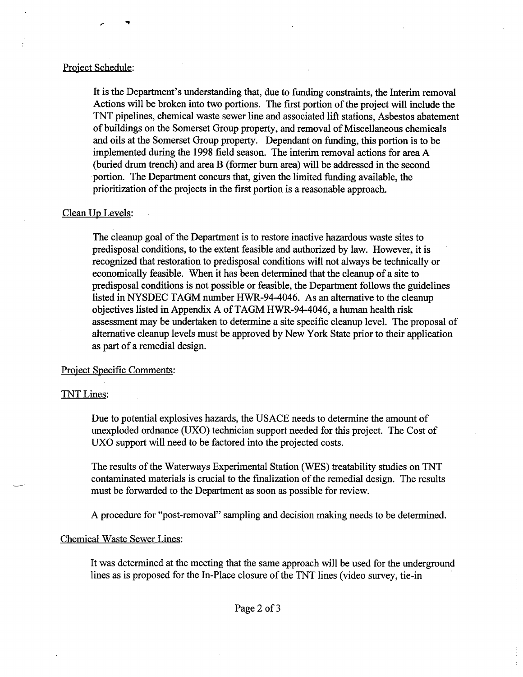#### Project Schedule

It is the Department's understanding that, due to funding constraints, the Interim removal Actions will be broken into two portions. The first portion of the project will include the TNT pipelines, chemical waste sewer line and associated lift stations, Asbestos abatement of buildings on the Somerset Group property and removal of Miscellaneous chemicals and oils at the Somerset Group property. Dependant on funding, this portion is to be implemented during the 1998 field season. The interim removal actions for area A (buried drum trench) and area B (former burn area) will be addressed in the second portion. The Department concurs that, given the limited funding available, the prioritization of the projects in the first portion is a reasonable approach.

### Clean Up Levels

The cleanup goal of the Department is to restore inactive hazardous waste sites to predisposal conditions, to the extent feasible and authorized by law. However, it is recognized that restoration to predisposal conditions will not always be technically or economically feasible. When it has been determined that the cleanup of a site to predisposal conditions is not possible or feasible, the Department follows the guidelines listed in NYSDEC TAGM number HWR-94-4046. As an alternative to the cleanup objectives listed in Appendix A of TAGM HWR-94-4046, a human health risk assessment may be undertaken to determine a site specific cleanup level. The proposal of alternative cleanup levels must be approved by New York State prior to their application as part of a remedial design.

#### Project Specific Comments

#### TNT Lines

Due to potential explosives hazards, the USACE needs to determine the amount of unexploded ordnance (UXO) technician support needed for this project. The Cost of UXO support will need to be factored into the projected costs.

The results of the Waterways Experimental Station (WES) treatability studies on TNT contaminated materials is crucial to the finalization of the remedial design. The results must be forwarded to the Department as soon as possible for review

A procedure for "post-removal" sampling and decision making needs to be determined.

#### Chemical Waste Sewer Lines

It was determined at the meeting that the same approach will be used for the underground lines as is proposed for the In-Place closure of the TNT lines (video survey, tie-in